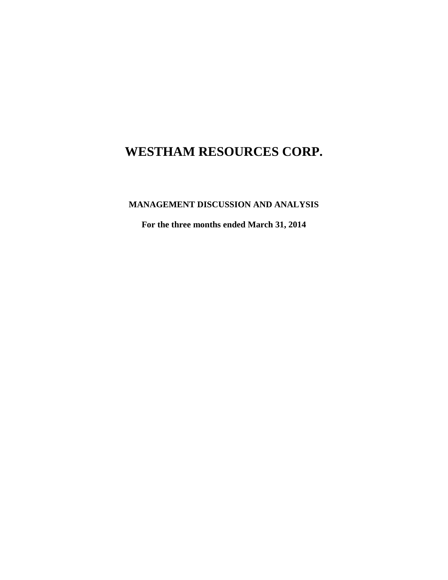**MANAGEMENT DISCUSSION AND ANALYSIS**

**For the three months ended March 31, 2014**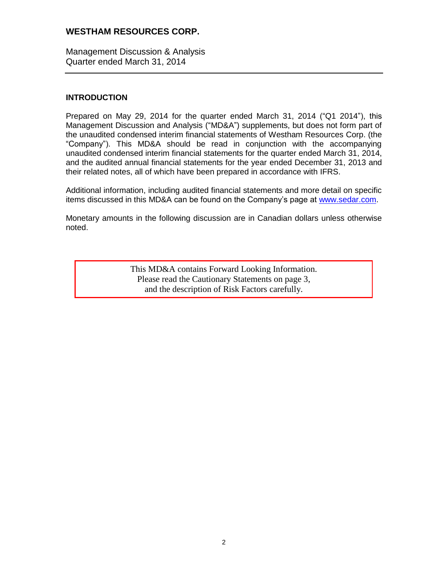Management Discussion & Analysis Quarter ended March 31, 2014

## **INTRODUCTION**

Prepared on May 29, 2014 for the quarter ended March 31, 2014 ("Q1 2014"), this Management Discussion and Analysis ("MD&A") supplements, but does not form part of the unaudited condensed interim financial statements of Westham Resources Corp. (the "Company"). This MD&A should be read in conjunction with the accompanying unaudited condensed interim financial statements for the quarter ended March 31, 2014, and the audited annual financial statements for the year ended December 31, 2013 and their related notes, all of which have been prepared in accordance with IFRS.

Additional information, including audited financial statements and more detail on specific items discussed in this MD&A can be found on the Company's page at [www.sedar.com.](http://www.sedar.com/)

Monetary amounts in the following discussion are in Canadian dollars unless otherwise noted.

> This MD&A contains Forward Looking Information. Please read the Cautionary Statements on page 3, and the description of Risk Factors carefully.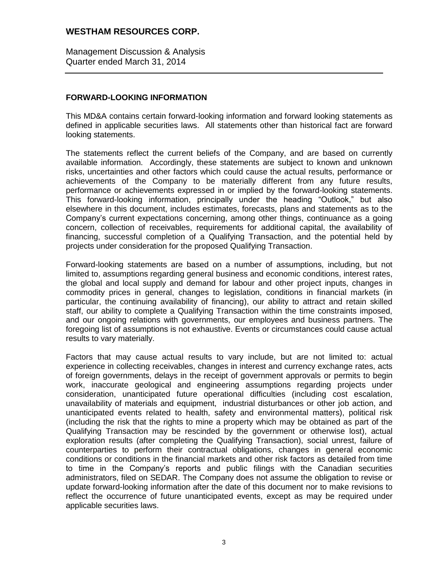Management Discussion & Analysis Quarter ended March 31, 2014

## **FORWARD-LOOKING INFORMATION**

This MD&A contains certain forward-looking information and forward looking statements as defined in applicable securities laws. All statements other than historical fact are forward looking statements.

The statements reflect the current beliefs of the Company, and are based on currently available information. Accordingly, these statements are subject to known and unknown risks, uncertainties and other factors which could cause the actual results, performance or achievements of the Company to be materially different from any future results, performance or achievements expressed in or implied by the forward-looking statements. This forward-looking information, principally under the heading "Outlook," but also elsewhere in this document, includes estimates, forecasts, plans and statements as to the Company's current expectations concerning, among other things, continuance as a going concern, collection of receivables, requirements for additional capital, the availability of financing, successful completion of a Qualifying Transaction, and the potential held by projects under consideration for the proposed Qualifying Transaction.

Forward-looking statements are based on a number of assumptions, including, but not limited to, assumptions regarding general business and economic conditions, interest rates, the global and local supply and demand for labour and other project inputs, changes in commodity prices in general, changes to legislation, conditions in financial markets (in particular, the continuing availability of financing), our ability to attract and retain skilled staff, our ability to complete a Qualifying Transaction within the time constraints imposed, and our ongoing relations with governments, our employees and business partners. The foregoing list of assumptions is not exhaustive. Events or circumstances could cause actual results to vary materially.

Factors that may cause actual results to vary include, but are not limited to: actual experience in collecting receivables, changes in interest and currency exchange rates, acts of foreign governments, delays in the receipt of government approvals or permits to begin work, inaccurate geological and engineering assumptions regarding projects under consideration, unanticipated future operational difficulties (including cost escalation, unavailability of materials and equipment, industrial disturbances or other job action, and unanticipated events related to health, safety and environmental matters), political risk (including the risk that the rights to mine a property which may be obtained as part of the Qualifying Transaction may be rescinded by the government or otherwise lost), actual exploration results (after completing the Qualifying Transaction), social unrest, failure of counterparties to perform their contractual obligations, changes in general economic conditions or conditions in the financial markets and other risk factors as detailed from time to time in the Company's reports and public filings with the Canadian securities administrators, filed on SEDAR. The Company does not assume the obligation to revise or update forward-looking information after the date of this document nor to make revisions to reflect the occurrence of future unanticipated events, except as may be required under applicable securities laws.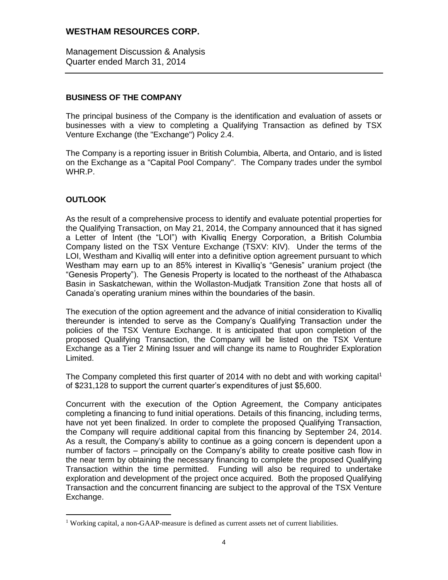Management Discussion & Analysis Quarter ended March 31, 2014

# **BUSINESS OF THE COMPANY**

The principal business of the Company is the identification and evaluation of assets or businesses with a view to completing a Qualifying Transaction as defined by TSX Venture Exchange (the "Exchange") Policy 2.4.

The Company is a reporting issuer in British Columbia, Alberta, and Ontario, and is listed on the Exchange as a "Capital Pool Company". The Company trades under the symbol WHR.P.

# **OUTLOOK**

 $\overline{a}$ 

As the result of a comprehensive process to identify and evaluate potential properties for the Qualifying Transaction, on May 21, 2014, the Company announced that it has signed a Letter of Intent (the "LOI") with Kivalliq Energy Corporation, a British Columbia Company listed on the TSX Venture Exchange (TSXV: KIV). Under the terms of the LOI, Westham and Kivalliq will enter into a definitive option agreement pursuant to which Westham may earn up to an 85% interest in Kivalliq's "Genesis" uranium project (the "Genesis Property"). The Genesis Property is located to the northeast of the Athabasca Basin in Saskatchewan, within the Wollaston-Mudjatk Transition Zone that hosts all of Canada's operating uranium mines within the boundaries of the basin.

The execution of the option agreement and the advance of initial consideration to Kivalliq thereunder is intended to serve as the Company's Qualifying Transaction under the policies of the TSX Venture Exchange. It is anticipated that upon completion of the proposed Qualifying Transaction, the Company will be listed on the TSX Venture Exchange as a Tier 2 Mining Issuer and will change its name to Roughrider Exploration Limited.

The Company completed this first quarter of 2014 with no debt and with working capital<sup>1</sup> of \$231,128 to support the current quarter's expenditures of just \$5,600.

Concurrent with the execution of the Option Agreement, the Company anticipates completing a financing to fund initial operations. Details of this financing, including terms, have not yet been finalized. In order to complete the proposed Qualifying Transaction, the Company will require additional capital from this financing by September 24, 2014. As a result, the Company's ability to continue as a going concern is dependent upon a number of factors – principally on the Company's ability to create positive cash flow in the near term by obtaining the necessary financing to complete the proposed Qualifying Transaction within the time permitted. Funding will also be required to undertake exploration and development of the project once acquired. Both the proposed Qualifying Transaction and the concurrent financing are subject to the approval of the TSX Venture Exchange.

<sup>&</sup>lt;sup>1</sup> Working capital, a non-GAAP-measure is defined as current assets net of current liabilities.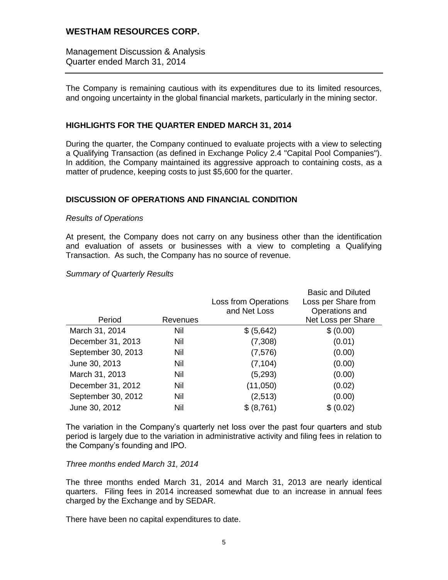Management Discussion & Analysis Quarter ended March 31, 2014

The Company is remaining cautious with its expenditures due to its limited resources, and ongoing uncertainty in the global financial markets, particularly in the mining sector.

## **HIGHLIGHTS FOR THE QUARTER ENDED MARCH 31, 2014**

During the quarter, the Company continued to evaluate projects with a view to selecting a Qualifying Transaction (as defined in Exchange Policy 2.4 "Capital Pool Companies"). In addition, the Company maintained its aggressive approach to containing costs, as a matter of prudence, keeping costs to just \$5,600 for the quarter.

## **DISCUSSION OF OPERATIONS AND FINANCIAL CONDITION**

#### *Results of Operations*

At present, the Company does not carry on any business other than the identification and evaluation of assets or businesses with a view to completing a Qualifying Transaction. As such, the Company has no source of revenue.

#### *Summary of Quarterly Results*

|          |                             | <b>Basic and Diluted</b> |
|----------|-----------------------------|--------------------------|
|          | <b>Loss from Operations</b> | Loss per Share from      |
|          | and Net Loss                | Operations and           |
| Revenues |                             | Net Loss per Share       |
| Nil      | \$ (5,642)                  | \$ (0.00)                |
| Nil      | (7,308)                     | (0.01)                   |
| Nil      | (7, 576)                    | (0.00)                   |
| Nil      | (7, 104)                    | (0.00)                   |
| Nil      | (5, 293)                    | (0.00)                   |
| Nil      | (11,050)                    | (0.02)                   |
| Nil      | (2,513)                     | (0.00)                   |
| Nil      | \$ (8,761)                  | \$ (0.02)                |
|          |                             |                          |

The variation in the Company's quarterly net loss over the past four quarters and stub period is largely due to the variation in administrative activity and filing fees in relation to the Company's founding and IPO.

#### *Three months ended March 31, 2014*

The three months ended March 31, 2014 and March 31, 2013 are nearly identical quarters. Filing fees in 2014 increased somewhat due to an increase in annual fees charged by the Exchange and by SEDAR.

There have been no capital expenditures to date.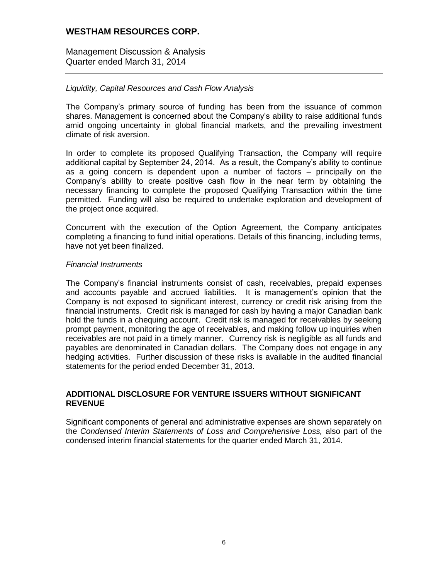Management Discussion & Analysis Quarter ended March 31, 2014

## *Liquidity, Capital Resources and Cash Flow Analysis*

The Company's primary source of funding has been from the issuance of common shares. Management is concerned about the Company's ability to raise additional funds amid ongoing uncertainty in global financial markets, and the prevailing investment climate of risk aversion.

In order to complete its proposed Qualifying Transaction, the Company will require additional capital by September 24, 2014. As a result, the Company's ability to continue as a going concern is dependent upon a number of factors – principally on the Company's ability to create positive cash flow in the near term by obtaining the necessary financing to complete the proposed Qualifying Transaction within the time permitted. Funding will also be required to undertake exploration and development of the project once acquired.

Concurrent with the execution of the Option Agreement, the Company anticipates completing a financing to fund initial operations. Details of this financing, including terms, have not yet been finalized.

#### *Financial Instruments*

The Company's financial instruments consist of cash, receivables, prepaid expenses and accounts payable and accrued liabilities. It is management's opinion that the Company is not exposed to significant interest, currency or credit risk arising from the financial instruments. Credit risk is managed for cash by having a major Canadian bank hold the funds in a chequing account. Credit risk is managed for receivables by seeking prompt payment, monitoring the age of receivables, and making follow up inquiries when receivables are not paid in a timely manner. Currency risk is negligible as all funds and payables are denominated in Canadian dollars. The Company does not engage in any hedging activities. Further discussion of these risks is available in the audited financial statements for the period ended December 31, 2013.

#### **ADDITIONAL DISCLOSURE FOR VENTURE ISSUERS WITHOUT SIGNIFICANT REVENUE**

Significant components of general and administrative expenses are shown separately on the *Condensed Interim Statements of Loss and Comprehensive Loss,* also part of the condensed interim financial statements for the quarter ended March 31, 2014.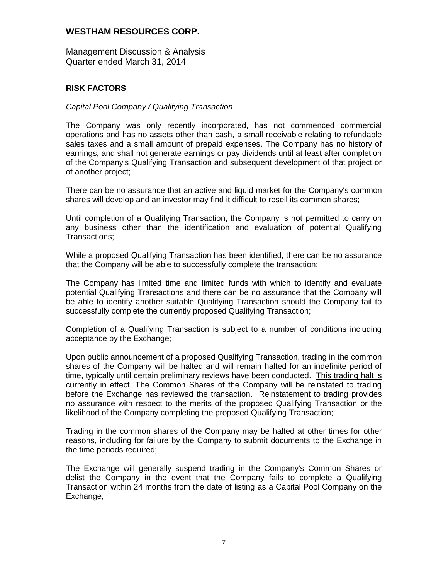Management Discussion & Analysis Quarter ended March 31, 2014

## **RISK FACTORS**

#### *Capital Pool Company / Qualifying Transaction*

The Company was only recently incorporated, has not commenced commercial operations and has no assets other than cash, a small receivable relating to refundable sales taxes and a small amount of prepaid expenses. The Company has no history of earnings, and shall not generate earnings or pay dividends until at least after completion of the Company's Qualifying Transaction and subsequent development of that project or of another project;

There can be no assurance that an active and liquid market for the Company's common shares will develop and an investor may find it difficult to resell its common shares;

Until completion of a Qualifying Transaction, the Company is not permitted to carry on any business other than the identification and evaluation of potential Qualifying Transactions;

While a proposed Qualifying Transaction has been identified, there can be no assurance that the Company will be able to successfully complete the transaction;

The Company has limited time and limited funds with which to identify and evaluate potential Qualifying Transactions and there can be no assurance that the Company will be able to identify another suitable Qualifying Transaction should the Company fail to successfully complete the currently proposed Qualifying Transaction;

Completion of a Qualifying Transaction is subject to a number of conditions including acceptance by the Exchange;

Upon public announcement of a proposed Qualifying Transaction, trading in the common shares of the Company will be halted and will remain halted for an indefinite period of time, typically until certain preliminary reviews have been conducted. This trading halt is currently in effect. The Common Shares of the Company will be reinstated to trading before the Exchange has reviewed the transaction. Reinstatement to trading provides no assurance with respect to the merits of the proposed Qualifying Transaction or the likelihood of the Company completing the proposed Qualifying Transaction;

Trading in the common shares of the Company may be halted at other times for other reasons, including for failure by the Company to submit documents to the Exchange in the time periods required;

The Exchange will generally suspend trading in the Company's Common Shares or delist the Company in the event that the Company fails to complete a Qualifying Transaction within 24 months from the date of listing as a Capital Pool Company on the Exchange;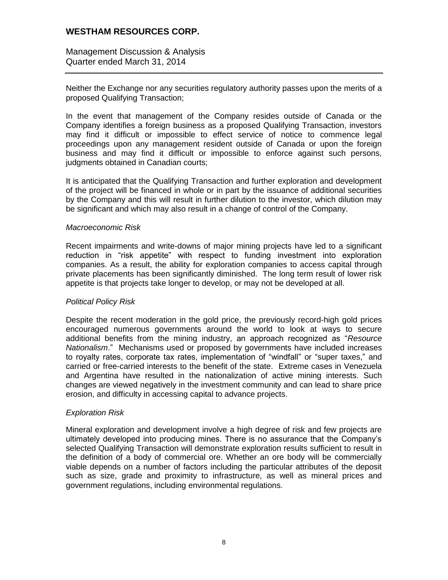Management Discussion & Analysis Quarter ended March 31, 2014

Neither the Exchange nor any securities regulatory authority passes upon the merits of a proposed Qualifying Transaction;

In the event that management of the Company resides outside of Canada or the Company identifies a foreign business as a proposed Qualifying Transaction, investors may find it difficult or impossible to effect service of notice to commence legal proceedings upon any management resident outside of Canada or upon the foreign business and may find it difficult or impossible to enforce against such persons, judgments obtained in Canadian courts;

It is anticipated that the Qualifying Transaction and further exploration and development of the project will be financed in whole or in part by the issuance of additional securities by the Company and this will result in further dilution to the investor, which dilution may be significant and which may also result in a change of control of the Company.

#### *Macroeconomic Risk*

Recent impairments and write-downs of major mining projects have led to a significant reduction in "risk appetite" with respect to funding investment into exploration companies. As a result, the ability for exploration companies to access capital through private placements has been significantly diminished. The long term result of lower risk appetite is that projects take longer to develop, or may not be developed at all.

#### *Political Policy Risk*

Despite the recent moderation in the gold price, the previously record-high gold prices encouraged numerous governments around the world to look at ways to secure additional benefits from the mining industry, an approach recognized as "*Resource Nationalism*." Mechanisms used or proposed by governments have included increases to royalty rates, corporate tax rates, implementation of "windfall" or "super taxes," and carried or free-carried interests to the benefit of the state. Extreme cases in Venezuela and Argentina have resulted in the nationalization of active mining interests. Such changes are viewed negatively in the investment community and can lead to share price erosion, and difficulty in accessing capital to advance projects.

## *Exploration Risk*

Mineral exploration and development involve a high degree of risk and few projects are ultimately developed into producing mines. There is no assurance that the Company's selected Qualifying Transaction will demonstrate exploration results sufficient to result in the definition of a body of commercial ore. Whether an ore body will be commercially viable depends on a number of factors including the particular attributes of the deposit such as size, grade and proximity to infrastructure, as well as mineral prices and government regulations, including environmental regulations.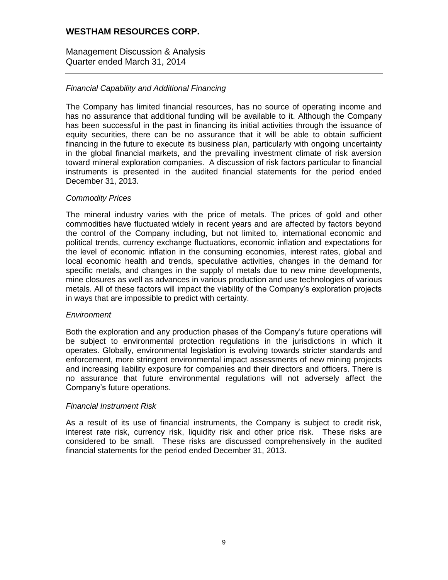Management Discussion & Analysis Quarter ended March 31, 2014

# *Financial Capability and Additional Financing*

The Company has limited financial resources, has no source of operating income and has no assurance that additional funding will be available to it. Although the Company has been successful in the past in financing its initial activities through the issuance of equity securities, there can be no assurance that it will be able to obtain sufficient financing in the future to execute its business plan, particularly with ongoing uncertainty in the global financial markets, and the prevailing investment climate of risk aversion toward mineral exploration companies. A discussion of risk factors particular to financial instruments is presented in the audited financial statements for the period ended December 31, 2013.

## *Commodity Prices*

The mineral industry varies with the price of metals. The prices of gold and other commodities have fluctuated widely in recent years and are affected by factors beyond the control of the Company including, but not limited to, international economic and political trends, currency exchange fluctuations, economic inflation and expectations for the level of economic inflation in the consuming economies, interest rates, global and local economic health and trends, speculative activities, changes in the demand for specific metals, and changes in the supply of metals due to new mine developments, mine closures as well as advances in various production and use technologies of various metals. All of these factors will impact the viability of the Company's exploration projects in ways that are impossible to predict with certainty.

#### *Environment*

Both the exploration and any production phases of the Company's future operations will be subject to environmental protection regulations in the jurisdictions in which it operates. Globally, environmental legislation is evolving towards stricter standards and enforcement, more stringent environmental impact assessments of new mining projects and increasing liability exposure for companies and their directors and officers. There is no assurance that future environmental regulations will not adversely affect the Company's future operations.

## *Financial Instrument Risk*

As a result of its use of financial instruments, the Company is subject to credit risk, interest rate risk, currency risk, liquidity risk and other price risk. These risks are considered to be small. These risks are discussed comprehensively in the audited financial statements for the period ended December 31, 2013.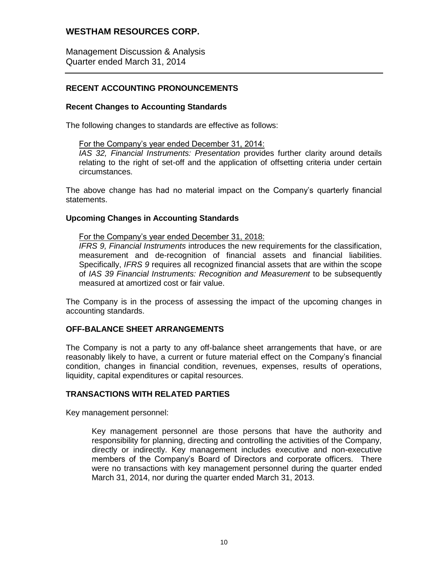Management Discussion & Analysis Quarter ended March 31, 2014

# **RECENT ACCOUNTING PRONOUNCEMENTS**

## **Recent Changes to Accounting Standards**

The following changes to standards are effective as follows:

#### For the Company's year ended December 31, 2014:

*IAS 32, Financial Instruments: Presentation* provides further clarity around details relating to the right of set-off and the application of offsetting criteria under certain circumstances.

The above change has had no material impact on the Company's quarterly financial statements.

#### **Upcoming Changes in Accounting Standards**

#### For the Company's year ended December 31, 2018:

*IFRS 9, Financial Instruments* introduces the new requirements for the classification, measurement and de-recognition of financial assets and financial liabilities. Specifically, *IFRS 9* requires all recognized financial assets that are within the scope of *IAS 39 Financial Instruments: Recognition and Measurement* to be subsequently measured at amortized cost or fair value.

The Company is in the process of assessing the impact of the upcoming changes in accounting standards.

## **OFF-BALANCE SHEET ARRANGEMENTS**

The Company is not a party to any off-balance sheet arrangements that have, or are reasonably likely to have, a current or future material effect on the Company's financial condition, changes in financial condition, revenues, expenses, results of operations, liquidity, capital expenditures or capital resources.

## **TRANSACTIONS WITH RELATED PARTIES**

Key management personnel:

Key management personnel are those persons that have the authority and responsibility for planning, directing and controlling the activities of the Company, directly or indirectly. Key management includes executive and non-executive members of the Company's Board of Directors and corporate officers. There were no transactions with key management personnel during the quarter ended March 31, 2014, nor during the quarter ended March 31, 2013.